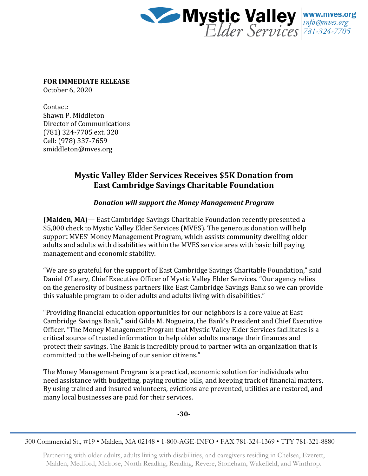

**FOR IMMEDIATE RELEASE**

October 6, 2020

Contact: Shawn P. Middleton Director of Communications (781) 324-7705 ext. 320 Cell: (978) 337-7659 smiddleton@mves.org

## **Mystic Valley Elder Services Receives \$5K Donation from East Cambridge Savings Charitable Foundation**

## *Donation will support the Money Management Program*

**(Malden, MA**)— East Cambridge Savings Charitable Foundation recently presented a \$5,000 check to Mystic Valley Elder Services (MVES). The generous donation will help support MVES' Money Management Program, which assists community dwelling older adults and adults with disabilities within the MVES service area with basic bill paying management and economic stability.

"We are so grateful for the support of East Cambridge Savings Charitable Foundation," said Daniel O'Leary, Chief Executive Officer of Mystic Valley Elder Services. "Our agency relies on the generosity of business partners like East Cambridge Savings Bank so we can provide this valuable program to older adults and adults living with disabilities."

"Providing financial education opportunities for our neighbors is a core value at East Cambridge Savings Bank," said Gilda M. Nogueira, the Bank's President and Chief Executive Officer. "The Money Management Program that Mystic Valley Elder Services facilitates is a critical source of trusted information to help older adults manage their finances and protect their savings. The Bank is incredibly proud to partner with an organization that is committed to the well-being of our senior citizens."

The Money Management Program is a practical, economic solution for individuals who need assistance with budgeting, paying routine bills, and keeping track of financial matters. By using trained and insured volunteers, evictions are prevented, utilities are restored, and many local businesses are paid for their services.

**-30-**

300 Commercial St., #19 • Malden, MA 02148 • 1-800-AGE-INFO • FAX 781-324-1369 • TTY 781-321-8880

Partnering with older adults, adults living with disabilities, and caregivers residing in Chelsea, Everett, Malden, Medford, Melrose, North Reading, Reading, Revere, Stoneham, Wakefield, and Winthrop.